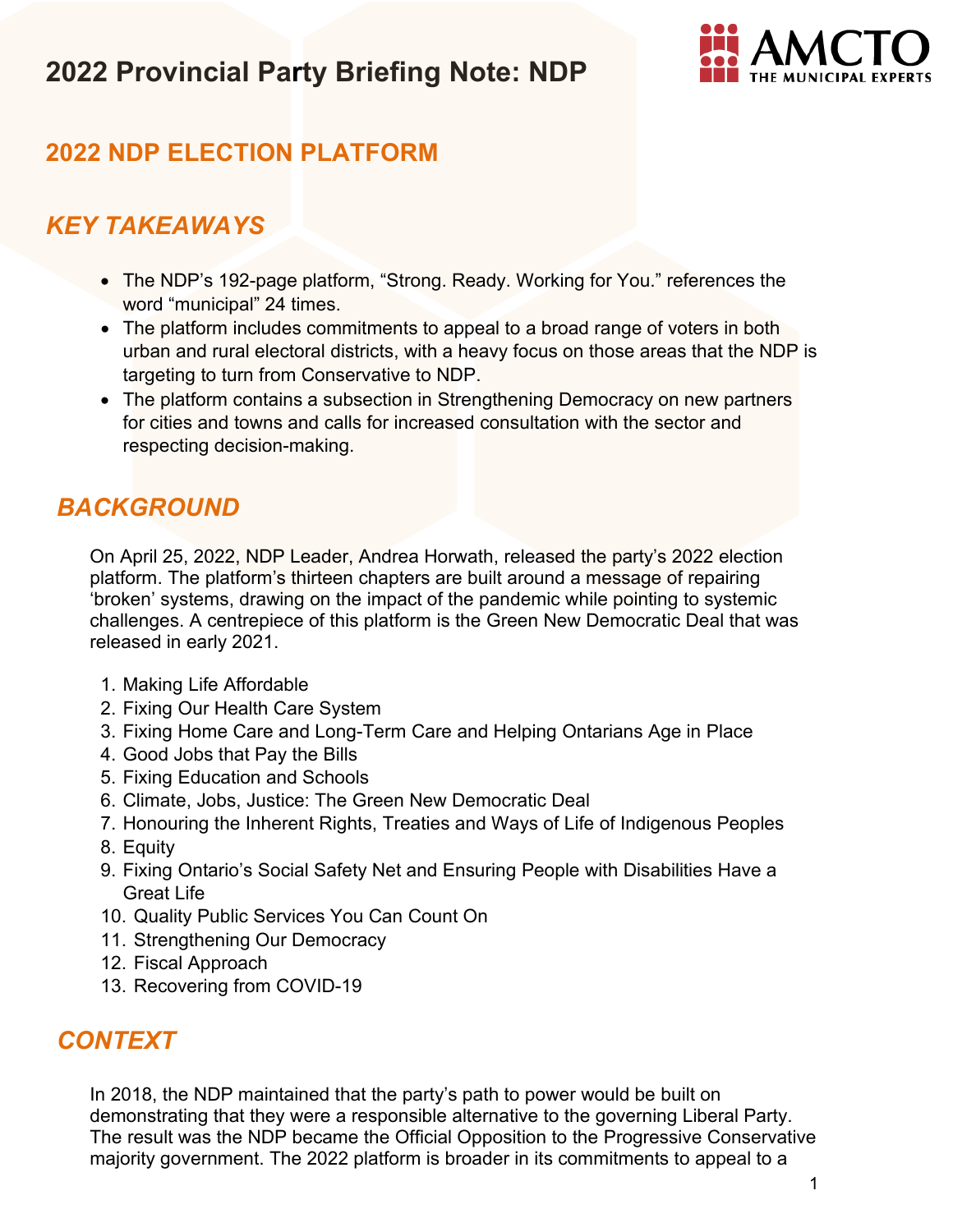

## **2022 NDP ELECTION PLATFORM**

### *KEY TAKEAWAYS*

- The NDP's 192-page platform, "Strong. Ready. Working for You." references the word "municipal" 24 times.
- The platform includes commitments to appeal to a broad range of voters in both urban and rural electoral districts, with a heavy focus on those areas that the NDP is targeting to turn from Conservative to NDP.
- The platform contains a subsection in Strengthening Democracy on new partners for cities and towns and calls for increased consultation with the sector and respecting decision-making.

## *BACKGROUND*

On April 25, 2022, NDP Leader, Andrea Horwath, released the party's 2022 election platform. The platform's thirteen chapters are built around a message of repairing 'broken' systems, drawing on the impact of the pandemic while pointing to systemic challenges. A centrepiece of this platform is the Green New Democratic Deal that was released in early 2021.

- 1. Making Life Affordable
- 2. Fixing Our Health Care System
- 3. Fixing Home Care and Long-Term Care and Helping Ontarians Age in Place
- 4. Good Jobs that Pay the Bills
- 5. Fixing Education and Schools
- 6. Climate, Jobs, Justice: The Green New Democratic Deal
- 7. Honouring the Inherent Rights, Treaties and Ways of Life of Indigenous Peoples
- 8. Equity
- 9. Fixing Ontario's Social Safety Net and Ensuring People with Disabilities Have a Great Life
- 10. Quality Public Services You Can Count On
- 11. Strengthening Our Democracy
- 12. Fiscal Approach
- 13. Recovering from COVID-19

### *CONTEXT*

In 2018, the NDP maintained that the party's path to power would be built on demonstrating that they were a responsible alternative to the governing Liberal Party. The result was the NDP became the Official Opposition to the Progressive Conservative majority government. The 2022 platform is broader in its commitments to appeal to a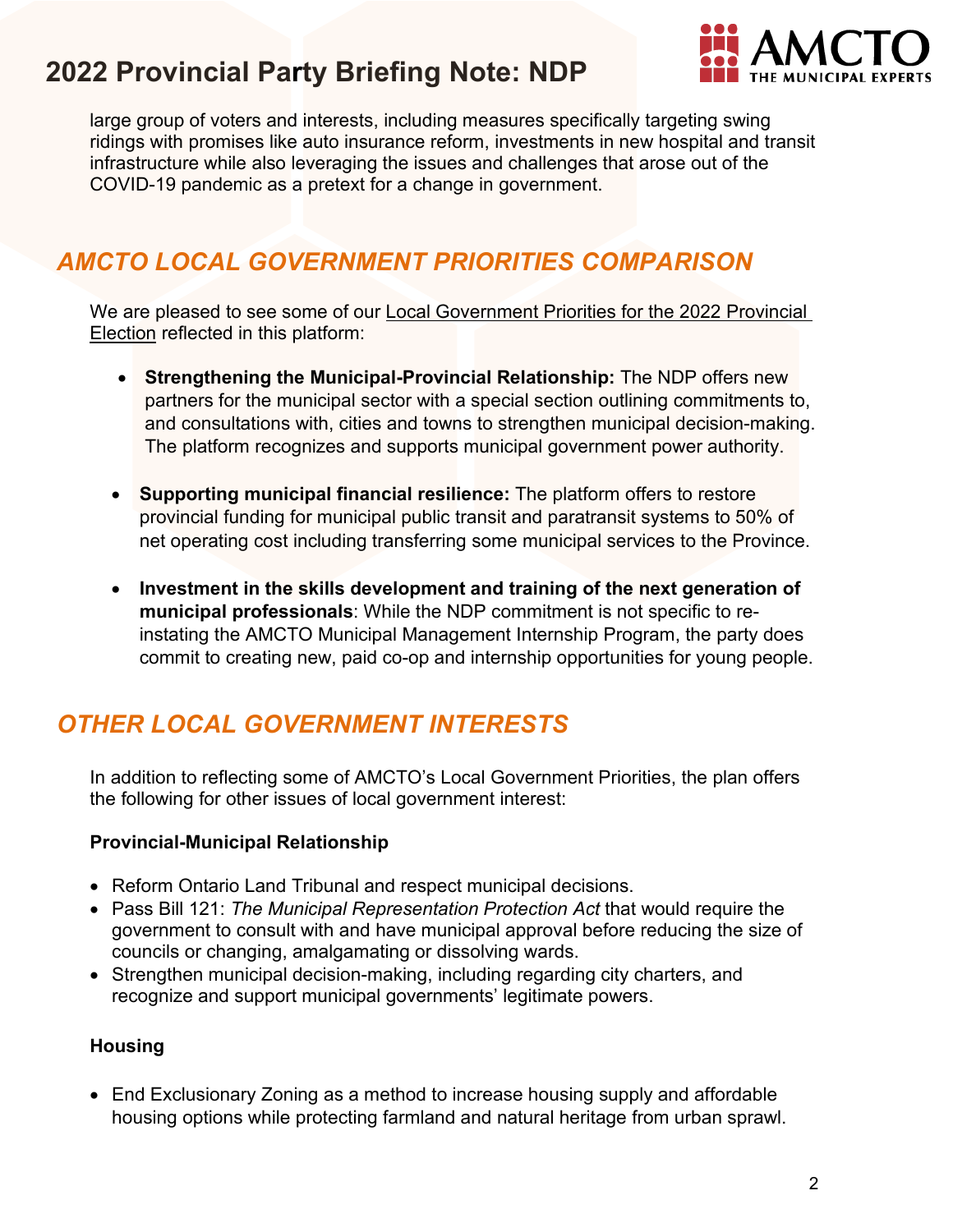

large group of voters and interests, including measures specifically targeting swing ridings with promises like auto insurance reform, investments in new hospital and transit infrastructure while also leveraging the issues and challenges that arose out of the COVID-19 pandemic as a pretext for a change in government.

## *AMCTO LOCAL GOVERNMENT PRIORITIES COMPARISON*

We are pleased to see some of our [Local Government Priorities for the 2022 Provincial](https://www.amcto.com/getattachment/2d0a9f97-8650-4229-a8a2-ae5137fc2948/.aspx)  [Election](https://www.amcto.com/getattachment/2d0a9f97-8650-4229-a8a2-ae5137fc2948/.aspx) reflected in this platform:

- **Strengthening the Municipal-Provincial Relationship:** The NDP offers new partners for the municipal sector with a special section outlining commitments to, and consultations with, cities and towns to strengthen municipal decision-making. The platform recognizes and supports municipal government power authority.
- **Supporting municipal financial resilience:** The platform offers to restore provincial funding for municipal public transit and paratransit systems to 50% of net operating cost including transferring some municipal services to the Province.
- **Investment in the skills development and training of the next generation of municipal professionals**: While the NDP commitment is not specific to reinstating the AMCTO Municipal Management Internship Program, the party does commit to creating new, paid co-op and internship opportunities for young people.

## *OTHER LOCAL GOVERNMENT INTERESTS*

In addition to reflecting some of AMCTO's Local Government Priorities, the plan offers the following for other issues of local government interest:

#### **Provincial-Municipal Relationship**

- Reform Ontario Land Tribunal and respect municipal decisions.
- Pass Bill 121: *The Municipal Representation Protection Act* that would require the government to consult with and have municipal approval before reducing the size of councils or changing, amalgamating or dissolving wards.
- Strengthen municipal decision-making, including regarding city charters, and recognize and support municipal governments' legitimate powers.

#### **Housing**

• End Exclusionary Zoning as a method to increase housing supply and affordable housing options while protecting farmland and natural heritage from urban sprawl.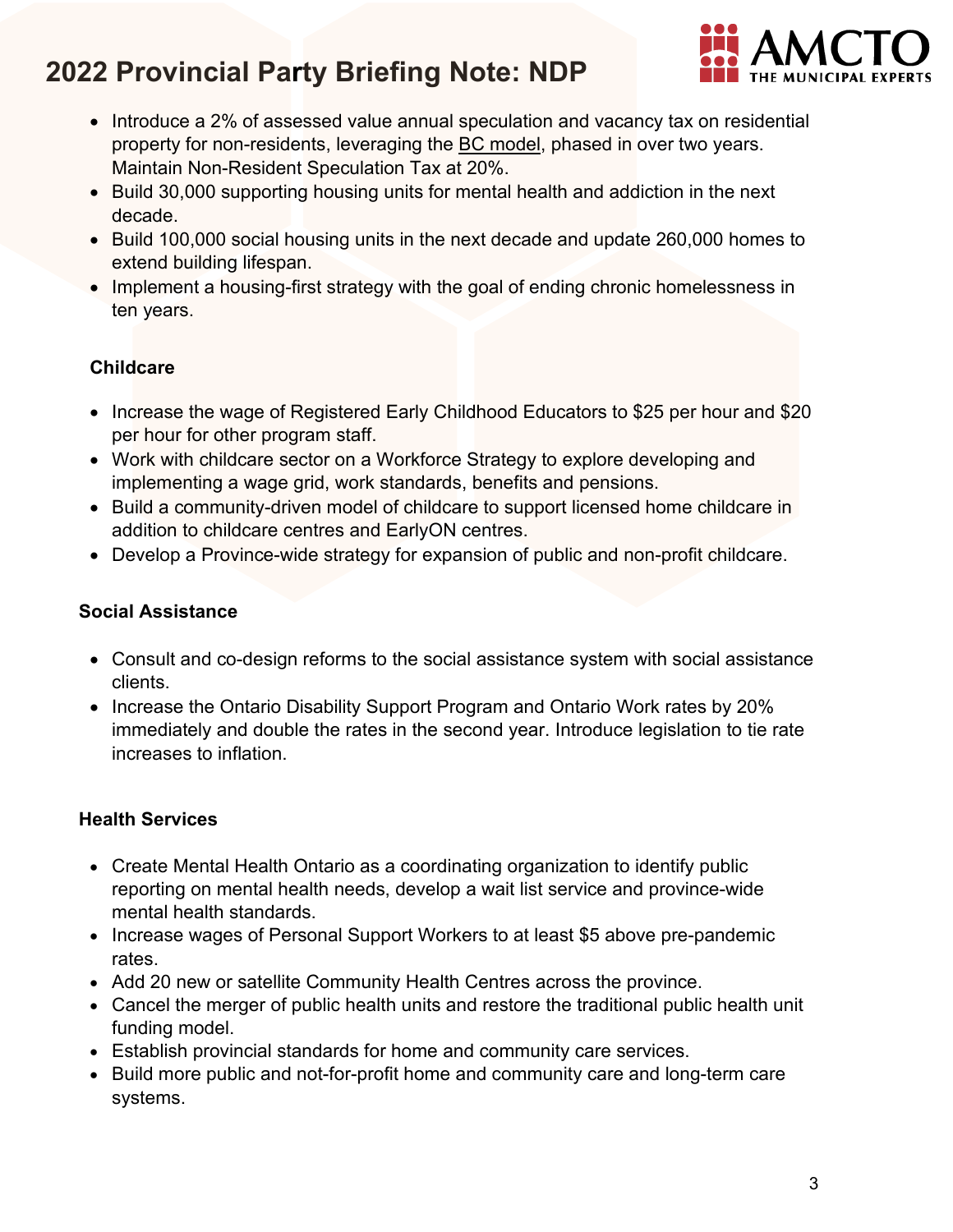

- Introduce a 2% of assessed value annual speculation and vacancy tax on residential property for non-residents, leveraging the [BC model,](https://www2.gov.bc.ca/gov/content/taxes/speculation-vacancy-tax/faq-speculation-and-vacancy-tax#:%7E:text=For%20properties%20owned%20on%20December,to%20offset%20their%20tax%20payable.) phased in over two years. Maintain Non-Resident Speculation Tax at 20%.
- Build 30,000 supporting housing units for mental health and addiction in the next decade.
- Build 100,000 social housing units in the next decade and update 260,000 homes to extend building lifespan.
- Implement a housing-first strategy with the goal of ending chronic homelessness in ten years.

### **Childcare**

- Increase the wage of Registered Early Childhood Educators to \$25 per hour and \$20 per hour for other program staff.
- Work with childcare sector on a Workforce Strategy to explore developing and implementing a wage grid, work standards, benefits and pensions.
- Build a community-driven model of childcare to support licensed home childcare in addition to childcare centres and EarlyON centres.
- Develop a Province-wide strategy for expansion of public and non-profit childcare.

#### **Social Assistance**

- Consult and co-design reforms to the social assistance system with social assistance clients.
- Increase the Ontario Disability Support Program and Ontario Work rates by 20% immediately and double the rates in the second year. Introduce legislation to tie rate increases to inflation.

### **Health Services**

- Create Mental Health Ontario as a coordinating organization to identify public reporting on mental health needs, develop a wait list service and province-wide mental health standards.
- Increase wages of Personal Support Workers to at least \$5 above pre-pandemic rates.
- Add 20 new or satellite Community Health Centres across the province.
- Cancel the merger of public health units and restore the traditional public health unit funding model.
- Establish provincial standards for home and community care services.
- Build more public and not-for-profit home and community care and long-term care systems.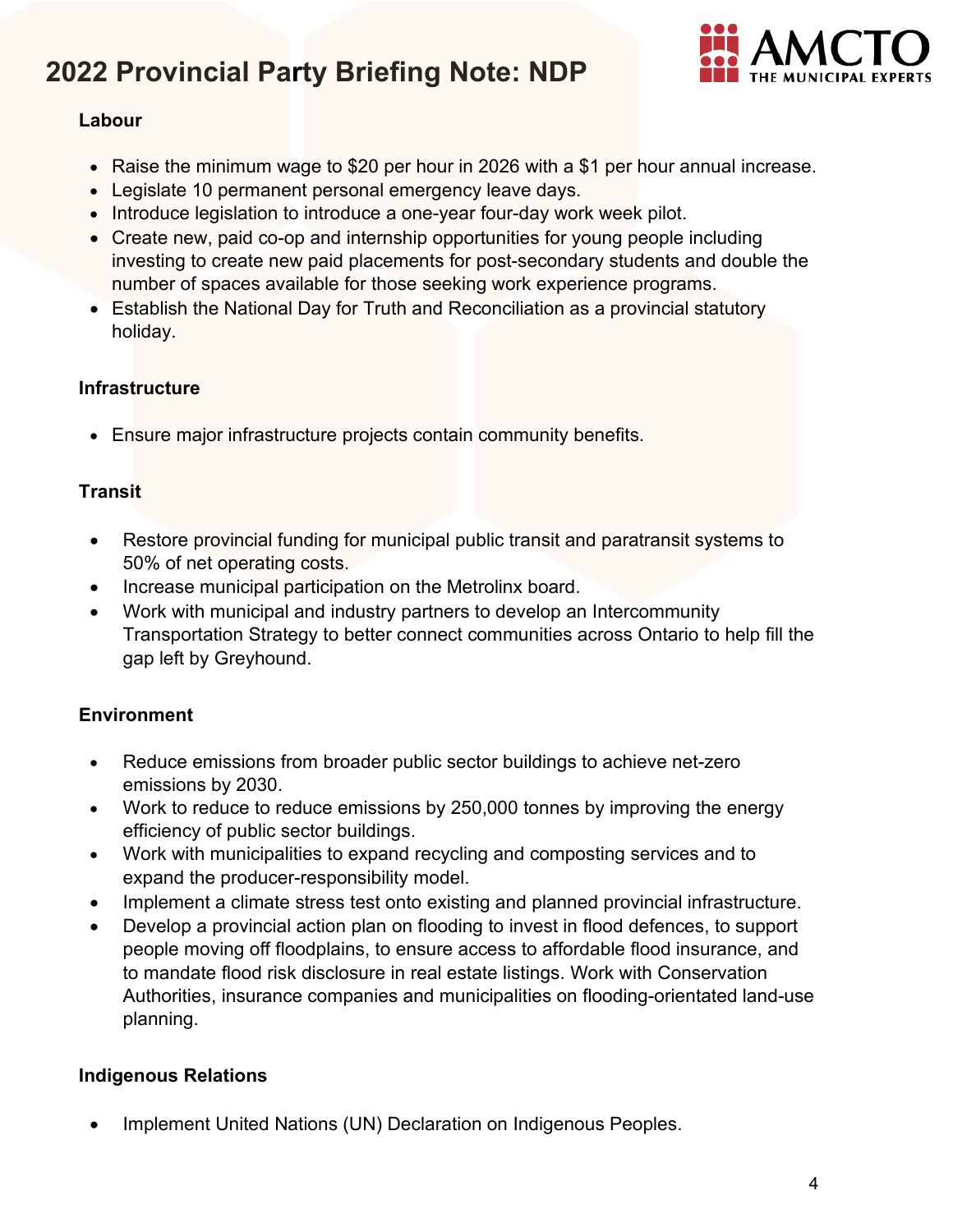

#### **Labour**

- Raise the minimum wage to \$20 per hour in 2026 with a \$1 per hour annual increase.
- Legislate 10 permanent personal emergency leave days.
- Introduce legislation to introduce a one-year four-day work week pilot.
- Create new, paid co-op and internship opportunities for young people including investing to create new paid placements for post-secondary students and double the number of spaces available for those seeking work experience programs.
- Establish the National Day for Truth and Reconciliation as a provincial statutory holiday.

### **Infrastructure**

• Ensure major infrastructure projects contain community benefits.

### **Transit**

- Restore provincial funding for municipal public transit and paratransit systems to 50% of net operating costs.
- Increase municipal participation on the Metrolinx board.
- Work with municipal and industry partners to develop an Intercommunity Transportation Strategy to better connect communities across Ontario to help fill the gap left by Greyhound.

### **Environment**

- Reduce emissions from broader public sector buildings to achieve net-zero emissions by 2030.
- Work to reduce to reduce emissions by 250,000 tonnes by improving the energy efficiency of public sector buildings.
- Work with municipalities to expand recycling and composting services and to expand the producer-responsibility model.
- Implement a climate stress test onto existing and planned provincial infrastructure.
- Develop a provincial action plan on flooding to invest in flood defences, to support people moving off floodplains, to ensure access to affordable flood insurance, and to mandate flood risk disclosure in real estate listings. Work with Conservation Authorities, insurance companies and municipalities on flooding-orientated land-use planning.

### **Indigenous Relations**

• Implement United Nations (UN) Declaration on Indigenous Peoples.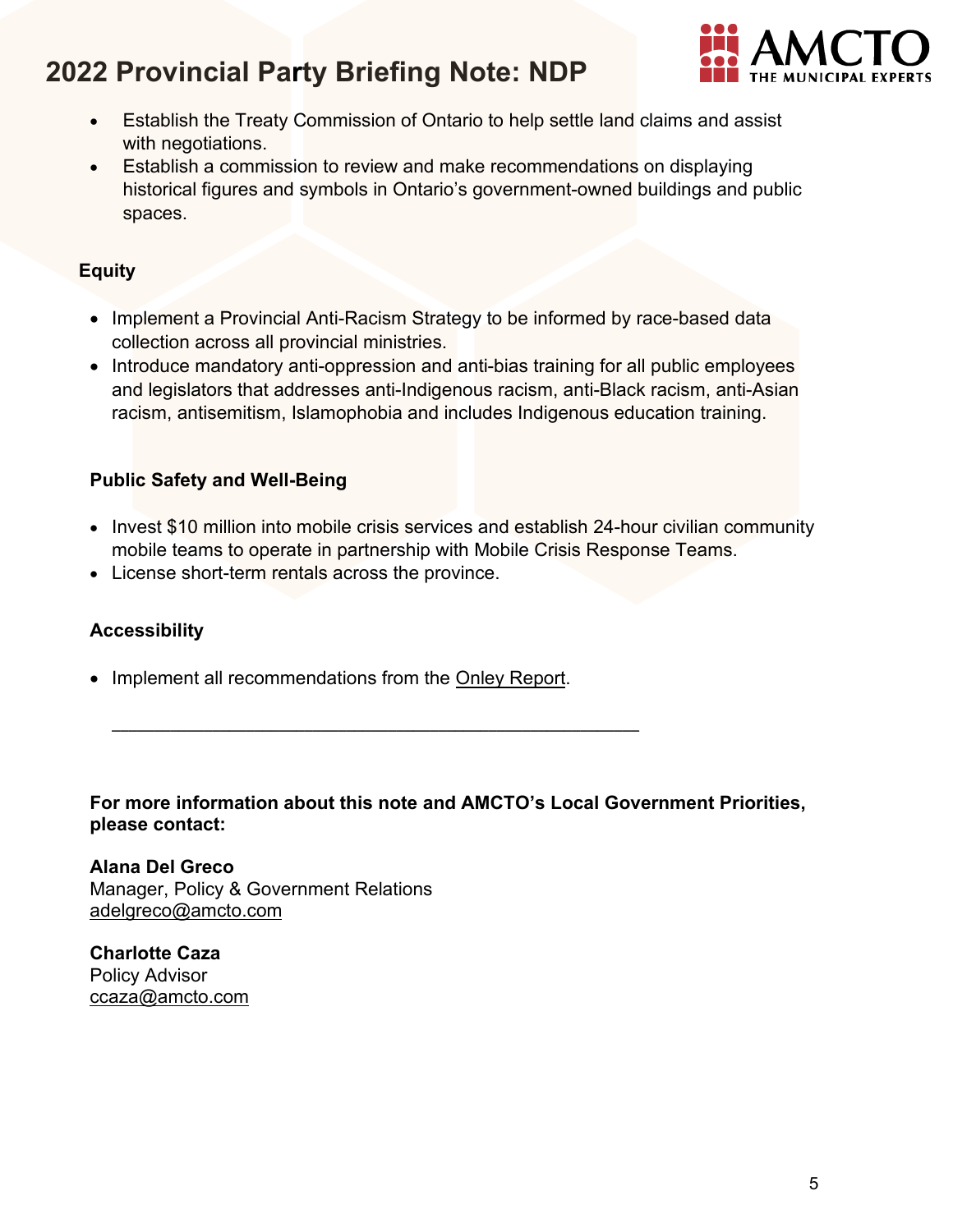

- Establish the Treaty Commission of Ontario to help settle land claims and assist with negotiations.
- Establish a commission to review and make recommendations on displaying historical figures and symbols in Ontario's government-owned buildings and public spaces.

#### **Equity**

- Implement a Provincial Anti-Racism Strategy to be informed by race-based data collection across all provincial ministries.
- Introduce mandatory anti-oppression and anti-bias training for all public employees and legislators that addresses anti-Indigenous racism, anti-Black racism, anti-Asian racism, antisemitism, Islamophobia and includes Indigenous education training.

#### **Public Safety and Well-Being**

- Invest \$10 million into mobile crisis services and establish 24-hour civilian community mobile teams to operate in partnership with Mobile Crisis Response Teams.
- License short-term rentals across the province.

#### **Accessibility**

• Implement all recommendations from the [Onley Report.](https://files.ontario.ca/seniors-accessibility-third-review-of-aoda-en-2019.pdf)

\_\_\_\_\_\_\_\_\_\_\_\_\_\_\_\_\_\_\_\_\_\_\_\_\_\_\_\_\_\_\_\_\_\_\_\_\_\_\_\_\_\_\_\_\_\_\_\_\_\_\_\_\_\_\_\_\_\_\_\_\_\_\_

#### **For more information about this note and AMCTO's Local Government Priorities, please contact:**

**Alana Del Greco** Manager, Policy & Government Relations [adelgreco@amcto.com](mailto:adelgreco@amcto.com)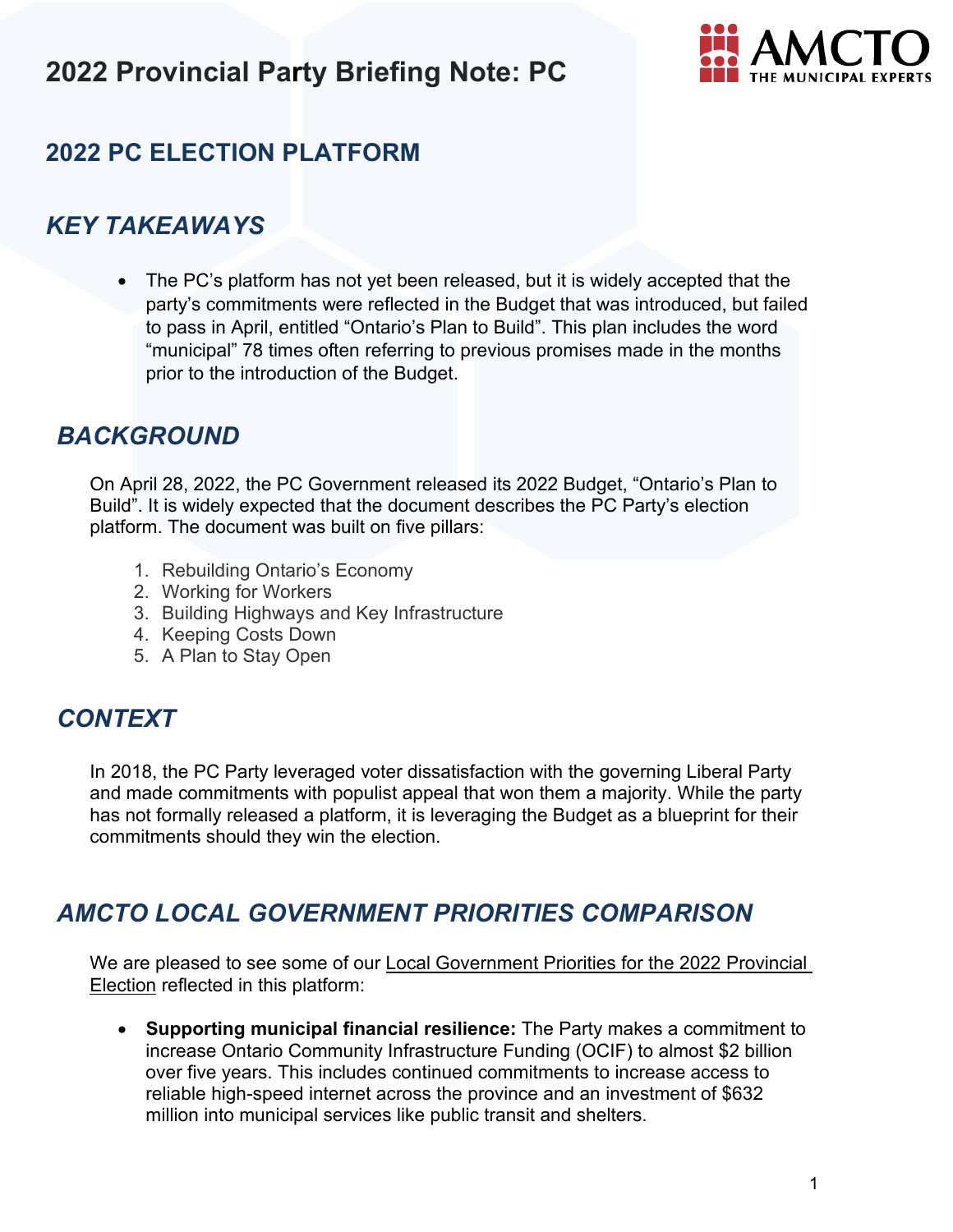

## **2022 PC ELECTION PLATFORM**

### *KEY TAKEAWAYS*

• The PC's platform has not yet been released, but it is widely accepted that the party's commitments were reflected in the Budget that was introduced, but failed to pass in April, entitled "Ontario's Plan to Build". This plan includes the word "municipal" 78 times often referring to previous promises made in the months prior to the introduction of the Budget.

### *BACKGROUND*

On April 28, 2022, the PC Government released its 2022 Budget, "Ontario's Plan to Build". It is widely expected that the document describes the PC Party's election platform. The document was built on five pillars:

- 1. Rebuilding Ontario's Economy
- 2. Working for Workers
- 3. Building Highways and Key Infrastructure
- 4. Keeping Costs Down
- 5. A Plan to Stay Open

### *CONTEXT*

In 2018, the PC Party leveraged voter dissatisfaction with the governing Liberal Party and made commitments with populist appeal that won them a majority. While the party has not formally released a platform, it is leveraging the Budget as a blueprint for their commitments should they win the election.

### *AMCTO LOCAL GOVERNMENT PRIORITIES COMPARISON*

[We are pleased to see some of our Local Government Priorities for the 2022 Provincial](https://www.amcto.com/getattachment/2d0a9f97-8650-4229-a8a2-ae5137fc2948/.aspx)  Election reflected in this platform:

• **Supporting municipal financial resilience:** The Party makes a commitment to increase Ontario Community Infrastructure Funding (OCIF) to almost \$2 billion over five years. This includes continued commitments to increase access to reliable high-speed internet across the province and an investment of \$632 million into municipal services like public transit and shelters.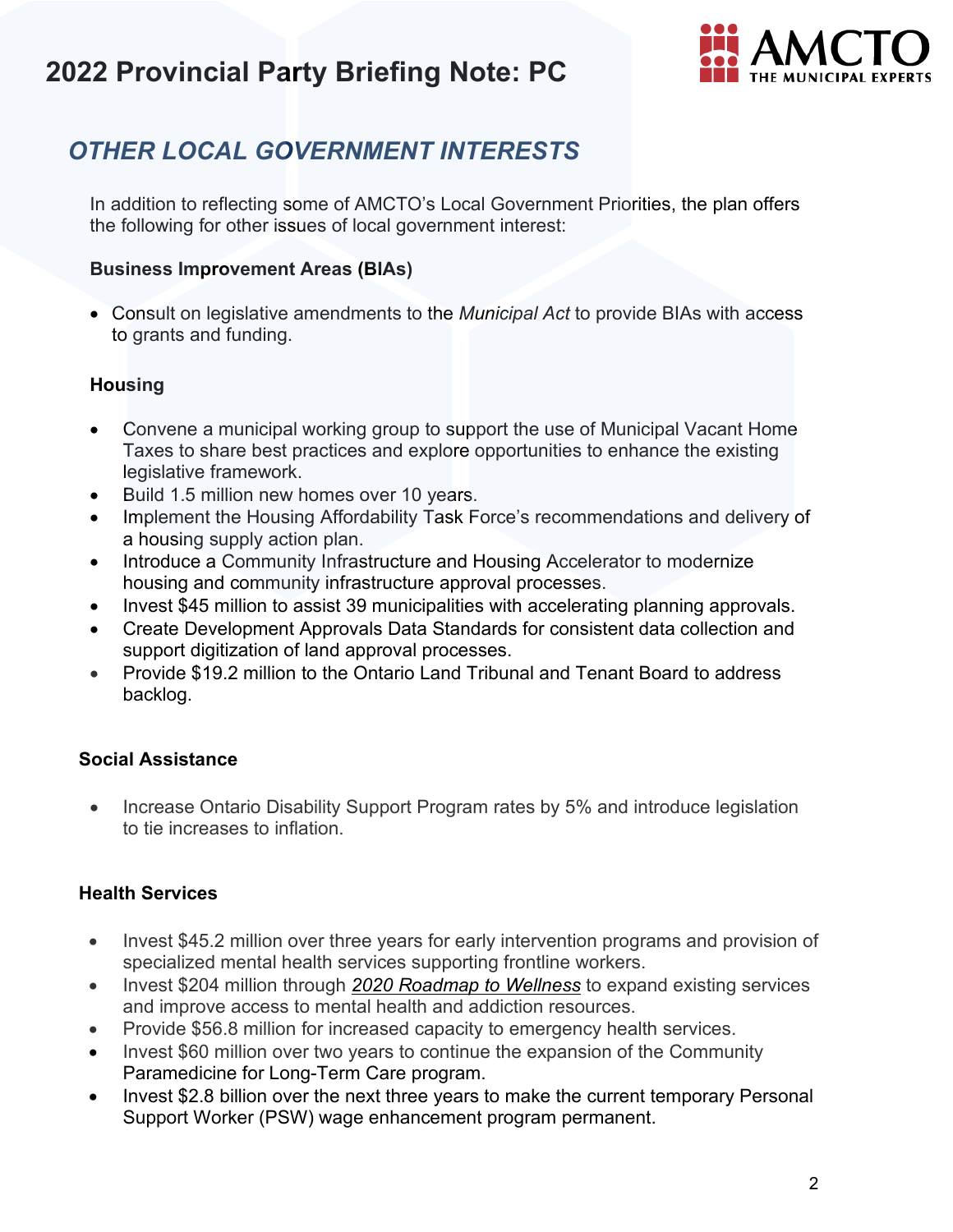

## *OTHER LOCAL GOVERNMENT INTERESTS*

In addition to reflecting some of AMCTO's Local Government Priorities, the plan offers the following for other issues of local government interest:

#### **Business Improvement Areas (BIAs)**

• Consult on legislative amendments to the *Municipal Act* to provide BIAs with access to grants and funding.

#### **Housing**

- Convene a municipal working group to support the use of [Municipal Vacant Home](https://www.ontario.ca/laws/statute/01m25#BK417) [Taxes](https://www.ontario.ca/laws/statute/01m25#BK417) to share best practices and explore opportunities to enhance the existing legislative framework.
- Build 1.5 million new homes over 10 years.
- Implement the Housing Affordability Task Force's recommendations and delivery of a housing supply action plan.
- Introduce a Community Infrastructure and Housing Accelerator to modernize housing and community infrastructure approval processes.
- Invest \$45 million to assist 39 municipalities with accelerating planning approvals.
- Create Development Approvals Data Standards for consistent data collection and support digitization of land approval processes.
- Provide \$19.2 million to the Ontario Land Tribunal and Tenant Board to address backlog.

#### **Social Assistance**

• Increase Ontario Disability Support Program rates by 5% and introduce legislation to tie increases to inflation.

#### **Health Services**

- Invest \$45.2 million over three years for early intervention programs and provision of specialized mental health services supporting frontline workers.
- Invest \$204 million through *[2020 Roadmap to Wellness](https://www.ontario.ca/page/roadmap-wellness-plan-build-ontarios-mental-health-and-addictions-system)* to expand existing services and improve access to mental health and addiction resources.
- Provide \$56.8 million for increased capacity to emergency health services.
- Invest \$60 million over two years to continue the expansion of the Community Paramedicine for Long-Term Care program.
- Invest \$2.8 billion over the next three years to make the current temporary Personal Support Worker (PSW) wage enhancement program permanent.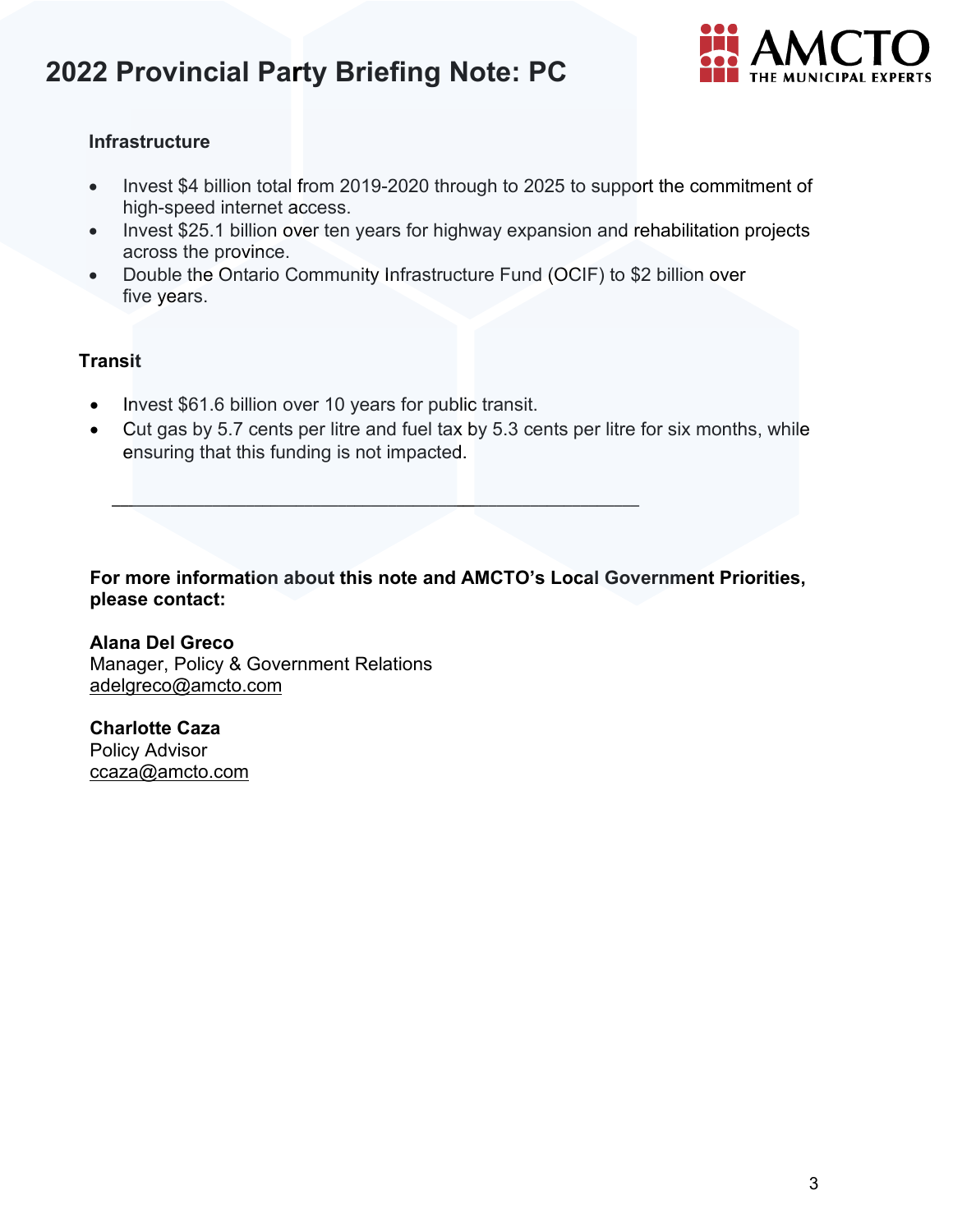

#### **Infrastructure**

- Invest \$4 billion total from 2019-2020 through to 2025 to support the commitment of high-speed internet access.
- Invest \$25.1 billion over ten years for highway expansion and rehabilitation projects across the province.
- Double the Ontario Community Infrastructure Fund (OCIF) to \$2 billion over five years.

#### **Transit**

• Invest \$61.6 billion over 10 years for public transit.

\_\_\_\_\_\_\_\_\_\_\_\_\_\_\_\_\_\_\_\_\_\_\_\_\_\_\_\_\_\_\_\_\_\_\_\_\_\_\_\_\_\_\_\_\_\_\_\_\_\_\_\_\_\_\_\_\_\_\_\_\_\_\_

• Cut gas by 5.7 cents per litre and fuel tax by 5.3 cents per litre for six months, while ensuring that this funding is not impacted.

**For more information about this note and AMCTO's Local Government Priorities, please contact:**

**Alana Del Greco** Manager, Policy & Government Relations [adelgreco@amcto.com](mailto:adelgreco@amcto.com)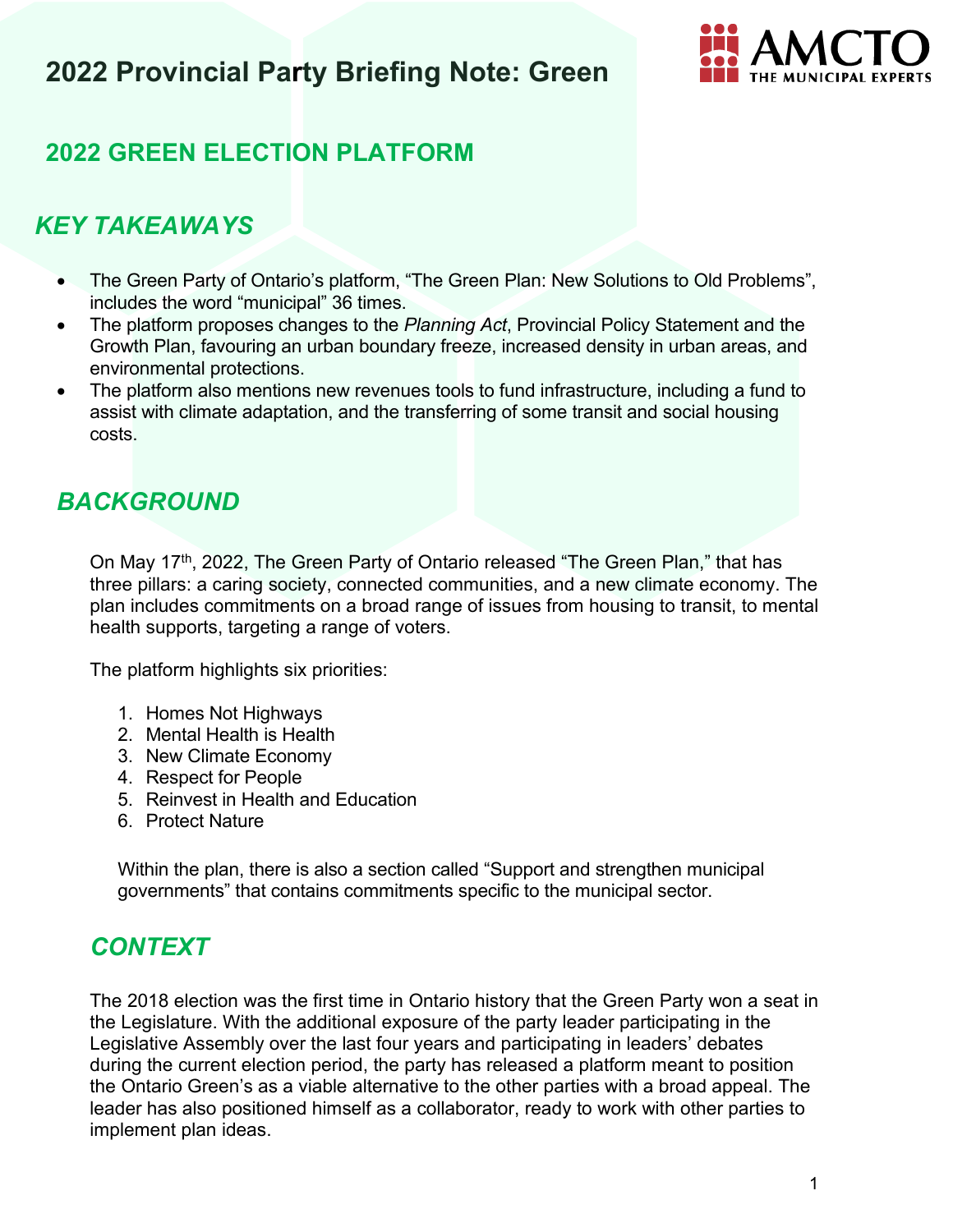

## **2022 GREEN ELECTION PLATFORM**

## *KEY TAKEAWAYS*

- The Green Party of Ontario's platform, "The Green Plan: New Solutions to Old Problems", includes the word "municipal" 36 times.
- The platform proposes changes to the *Planning Act*, Provincial Policy Statement and the Growth Plan, favouring an urban boundary freeze, increased density in urban areas, and environmental protections.
- The platform also mentions new revenues tools to fund infrastructure, including a fund to assist with climate adaptation, and the transferring of some transit and social housing costs.

## *BACKGROUND*

On May 17<sup>th</sup>, 2022, The Green Party of Ontario released "The Green Plan," that has three pillars: a caring society, connected communities, and a new climate economy. The plan includes commitments on a broad range of issues from housing to transit, to mental health supports, targeting a range of voters.

The platform highlights six priorities:

- 1. Homes Not Highways
- 2. Mental Health is Health
- 3. New Climate Economy
- 4. Respect for People
- 5. Reinvest in Health and Education
- 6. Protect Nature

Within the plan, there is also a section called "Support and strengthen municipal governments" that contains commitments specific to the municipal sector.

### *CONTEXT*

The 2018 election was the first time in Ontario history that the Green Party won a seat in the Legislature. With the additional exposure of the party leader participating in the Legislative Assembly over the last four years and participating in leaders' debates during the current election period, the party has released a platform meant to position the Ontario Green's as a viable alternative to the other parties with a broad appeal. The leader has also positioned himself as a collaborator, ready to work with other parties to implement plan ideas.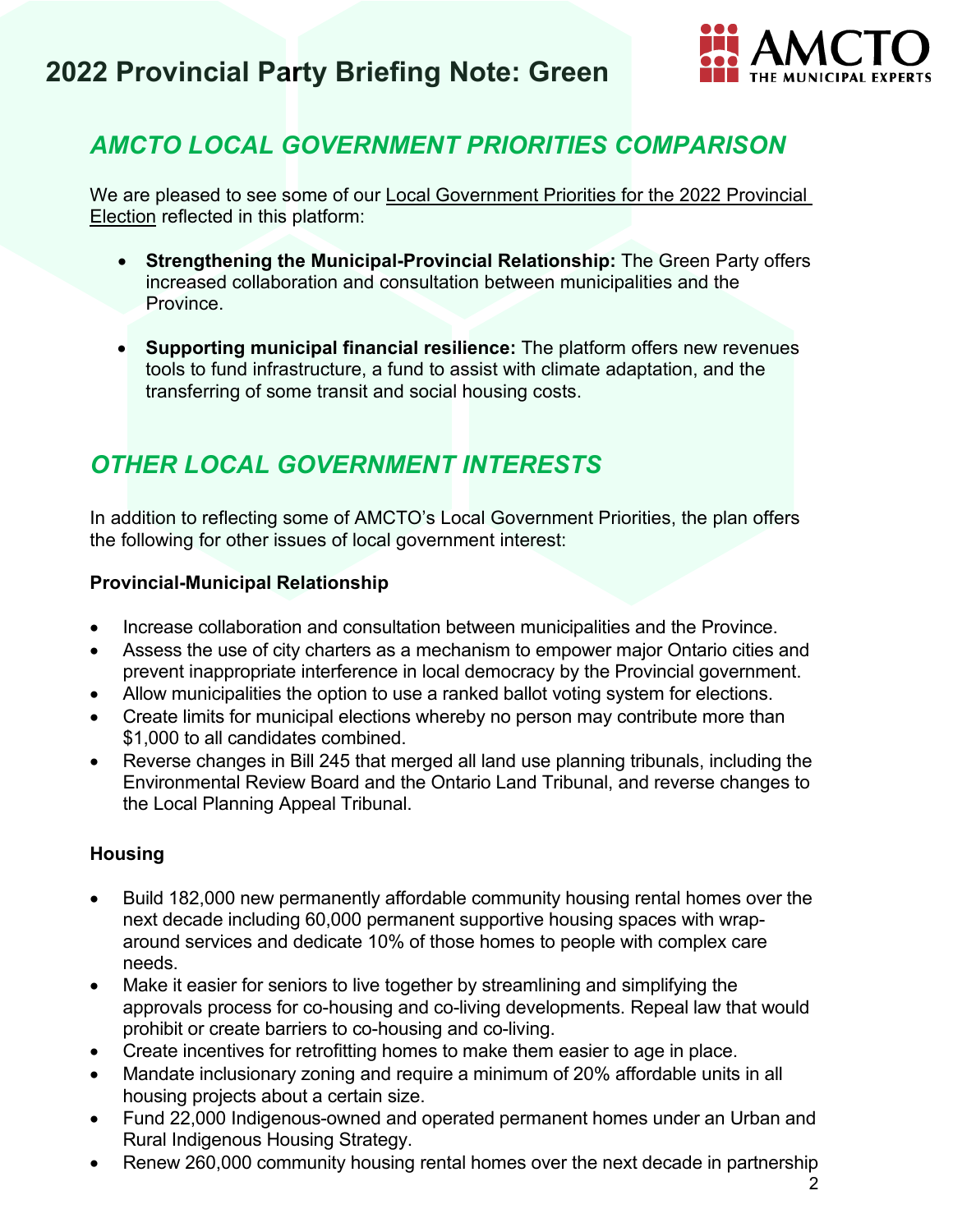

## *AMCTO LOCAL GOVERNMENT PRIORITIES COMPARISON*

We are pleased to see some of our [Local Government Priorities for the 2022 Provincial](https://www.amcto.com/getattachment/2d0a9f97-8650-4229-a8a2-ae5137fc2948/.aspx)  [Election](https://www.amcto.com/getattachment/2d0a9f97-8650-4229-a8a2-ae5137fc2948/.aspx) reflected in this platform:

- **Strengthening the Municipal-Provincial Relationship:** The Green Party offers increased collaboration and consultation between municipalities and the Province.
- **Supporting municipal financial resilience:** The platform offers new revenues tools to fund infrastructure, a fund to assist with climate adaptation, and the transferring of some transit and social housing costs.

## *OTHER LOCAL GOVERNMENT INTERESTS*

In addition to reflecting some of AMCTO's Local Government Priorities, the plan offers the following for other issues of local government interest:

#### **Provincial-Municipal Relationship**

- Increase collaboration and consultation between municipalities and the Province.
- Assess the use of city charters as a mechanism to empower major Ontario cities and prevent inappropriate interference in local democracy by the Provincial government.
- Allow municipalities the option to use a ranked ballot voting system for elections.
- Create limits for municipal elections whereby no person may contribute more than \$1,000 to all candidates combined.
- Reverse changes in Bill 245 that merged all land use planning tribunals, including the Environmental Review Board and the Ontario Land Tribunal, and reverse changes to the Local Planning Appeal Tribunal.

#### **Housing**

- Build 182,000 new permanently affordable community housing rental homes over the next decade including 60,000 permanent supportive housing spaces with wraparound services and dedicate 10% of those homes to people with complex care needs.
- Make it easier for seniors to live together by streamlining and simplifying the approvals process for co-housing and co-living developments. Repeal law that would prohibit or create barriers to co-housing and co-living.
- Create incentives for retrofitting homes to make them easier to age in place.
- Mandate inclusionary zoning and require a minimum of 20% affordable units in all housing projects about a certain size.
- Fund 22,000 Indigenous-owned and operated permanent homes under an Urban and Rural Indigenous Housing Strategy.
- Renew 260,000 community housing rental homes over the next decade in partnership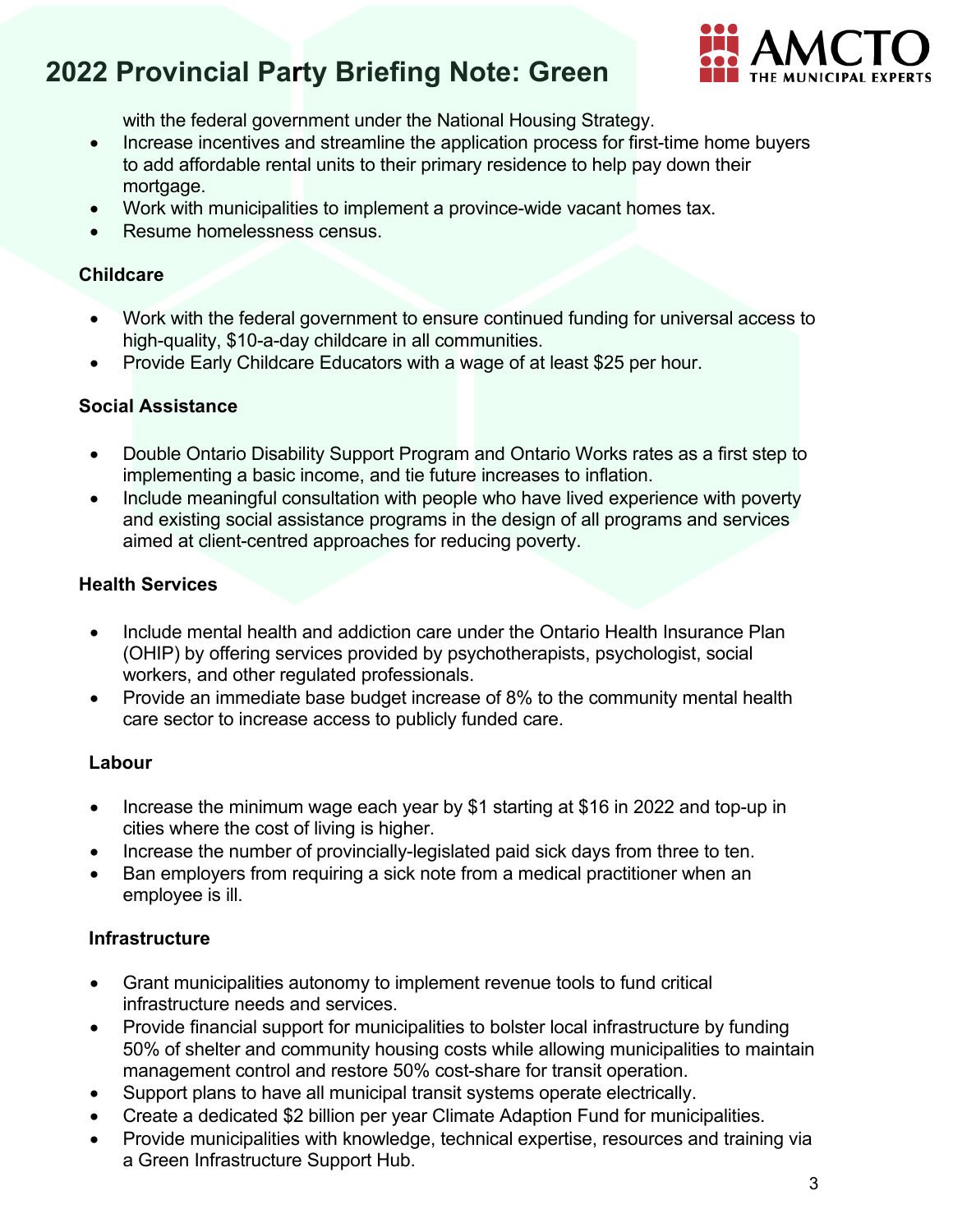

with the federal government under the National Housing Strategy.

- Increase incentives and streamline the application process for first-time home buyers to add affordable rental units to their primary residence to help pay down their mortgage.
- Work with municipalities to implement a province-wide vacant homes tax.
- Resume homelessness census.

#### **Childcare**

- Work with the federal government to ensure continued funding for universal access to high-quality, \$10-a-day childcare in all communities.
- Provide Early Childcare Educators with a wage of at least \$25 per hour.

#### **Social Assistance**

- Double Ontario Disability Support Program and Ontario Works rates as a first step to implementing a basic income, and tie future increases to inflation.
- Include meaningful consultation with people who have lived experience with poverty and existing social assistance programs in the design of all programs and services aimed at client-centred approaches for reducing poverty.

#### **Health Services**

- Include mental health and addiction care under the Ontario Health Insurance Plan (OHIP) by offering services provided by psychotherapists, psychologist, social workers, and other regulated professionals.
- Provide an immediate base budget increase of 8% to the community mental health care sector to increase access to publicly funded care.

#### **Labour**

- Increase the minimum wage each year by \$1 starting at \$16 in 2022 and top-up in cities where the cost of living is higher.
- Increase the number of provincially-legislated paid sick days from three to ten.
- Ban employers from requiring a sick note from a medical practitioner when an employee is ill.

#### **Infrastructure**

- Grant municipalities autonomy to implement revenue tools to fund critical infrastructure needs and services.
- Provide financial support for municipalities to bolster local infrastructure by funding 50% of shelter and community housing costs while allowing municipalities to maintain management control and restore 50% cost-share for transit operation.
- Support plans to have all municipal transit systems operate electrically.
- Create a dedicated \$2 billion per year Climate Adaption Fund for municipalities.
- Provide municipalities with knowledge, technical expertise, resources and training via a Green Infrastructure Support Hub.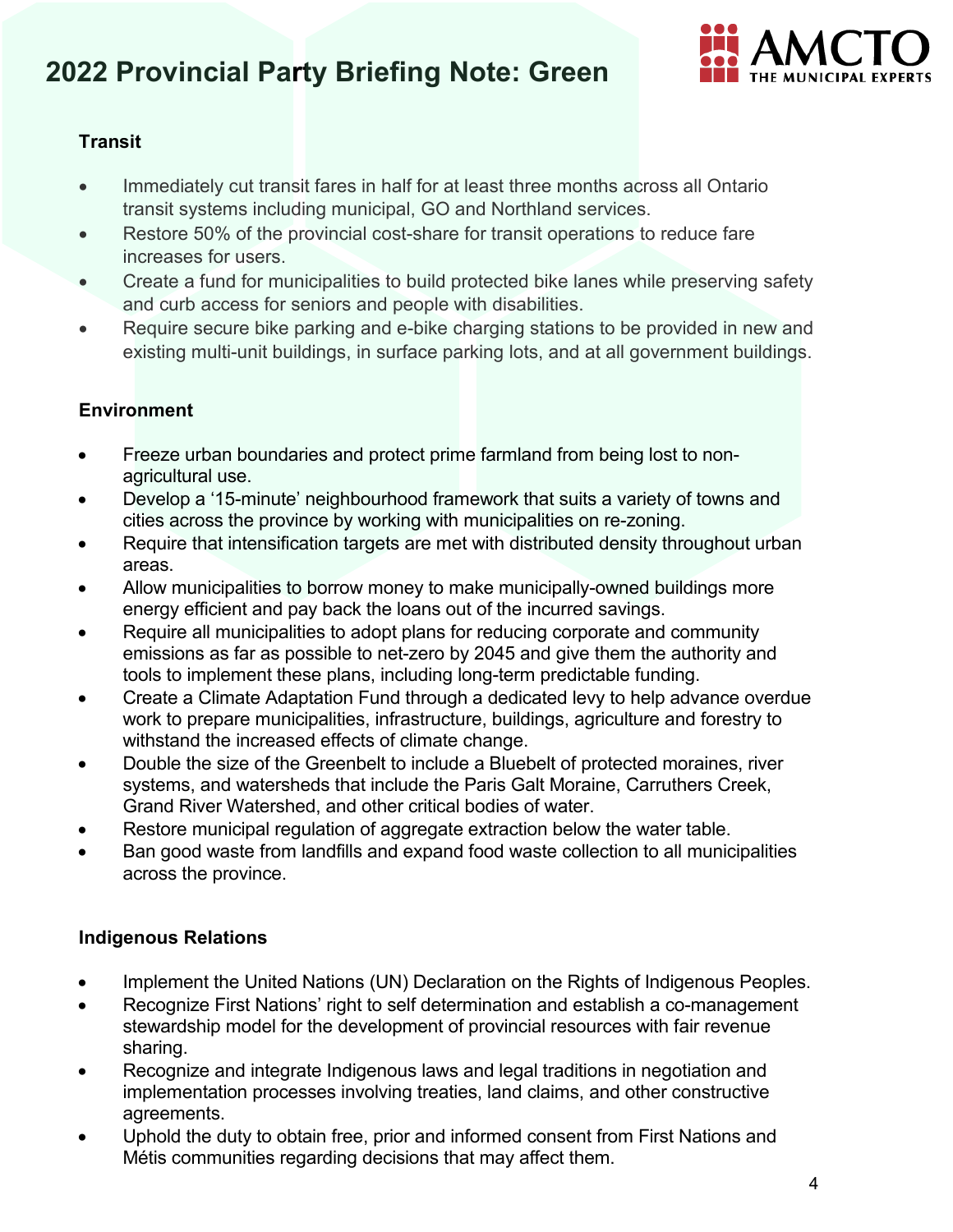

### **Transit**

- Immediately cut transit fares in half for at least three months across all Ontario transit systems including municipal, GO and Northland services.
- Restore 50% of the provincial cost-share for transit operations to reduce fare increases for users.
- Create a fund for municipalities to build protected bike lanes while preserving safety and curb access for seniors and people with disabilities.
- Require secure bike parking and e-bike charging stations to be provided in new and existing multi-unit buildings, in surface parking lots, and at all government buildings.

### **Environment**

- Freeze urban boundaries and protect prime farmland from being lost to nonagricultural use.
- Develop a '15-minute' neighbourhood framework that suits a variety of towns and cities across the province by working with municipalities on re-zoning.
- Require that intensification targets are met with distributed density throughout urban areas.
- Allow municipalities to borrow money to make municipally-owned buildings more energy efficient and pay back the loans out of the incurred savings.
- Require all municipalities to adopt plans for reducing corporate and community emissions as far as possible to net-zero by 2045 and give them the authority and tools to implement these plans, including long-term predictable funding.
- Create a Climate Adaptation Fund through a dedicated levy to help advance overdue work to prepare municipalities, infrastructure, buildings, agriculture and forestry to withstand the increased effects of climate change.
- Double the size of the Greenbelt to include a Bluebelt of protected moraines, river systems, and watersheds that include the Paris Galt Moraine, Carruthers Creek, Grand River Watershed, and other critical bodies of water.
- Restore municipal regulation of aggregate extraction below the water table.
- Ban good waste from landfills and expand food waste collection to all municipalities across the province.

#### **Indigenous Relations**

- Implement the United Nations (UN) Declaration on the Rights of Indigenous Peoples.
- Recognize First Nations' right to self determination and establish a co-management stewardship model for the development of provincial resources with fair revenue sharing.
- Recognize and integrate Indigenous laws and legal traditions in negotiation and implementation processes involving treaties, land claims, and other constructive agreements.
- Uphold the duty to obtain free, prior and informed consent from First Nations and Métis communities regarding decisions that may affect them.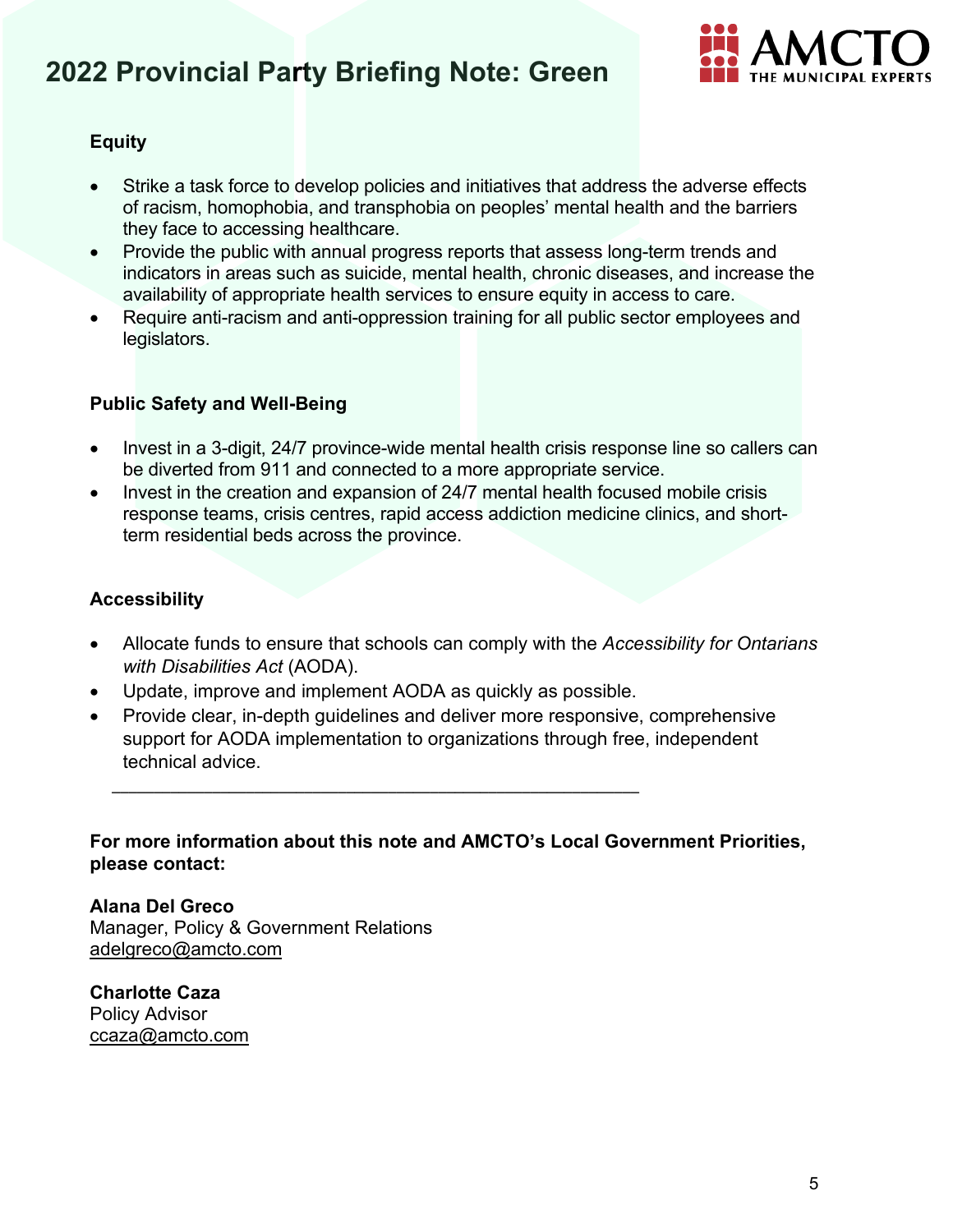

#### **Equity**

- Strike a task force to develop policies and initiatives that address the adverse effects of racism, homophobia, and transphobia on peoples' mental health and the barriers they face to accessing healthcare.
- Provide the public with annual progress reports that assess long-term trends and indicators in areas such as suicide, mental health, chronic diseases, and increase the availability of appropriate health services to ensure equity in access to care.
- Require anti-racism and anti-oppression training for all public sector employees and legislators.

#### **Public Safety and Well-Being**

- Invest in a 3-digit, 24/7 province-wide mental health crisis response line so callers can be diverted from 911 and connected to a more appropriate service.
- Invest in the creation and expansion of 24/7 mental health focused mobile crisis response teams, crisis centres, rapid access addiction medicine clinics, and shortterm residential beds across the province.

#### **Accessibility**

- Allocate funds to ensure that schools can comply with the *Accessibility for Ontarians with Disabilities Act* (AODA).
- Update, improve and implement AODA as quickly as possible.

\_\_\_\_\_\_\_\_\_\_\_\_\_\_\_\_\_\_\_\_\_\_\_\_\_\_\_\_\_\_\_\_\_\_\_\_\_\_\_\_\_\_\_\_\_\_\_\_\_\_\_\_\_\_\_\_\_\_\_\_\_\_\_

• Provide clear, in-depth guidelines and deliver more responsive, comprehensive support for AODA implementation to organizations through free, independent technical advice.

**For more information about this note and AMCTO's Local Government Priorities, please contact:**

**Alana Del Greco** Manager, Policy & Government Relations [adelgreco@amcto.com](mailto:adelgreco@amcto.com)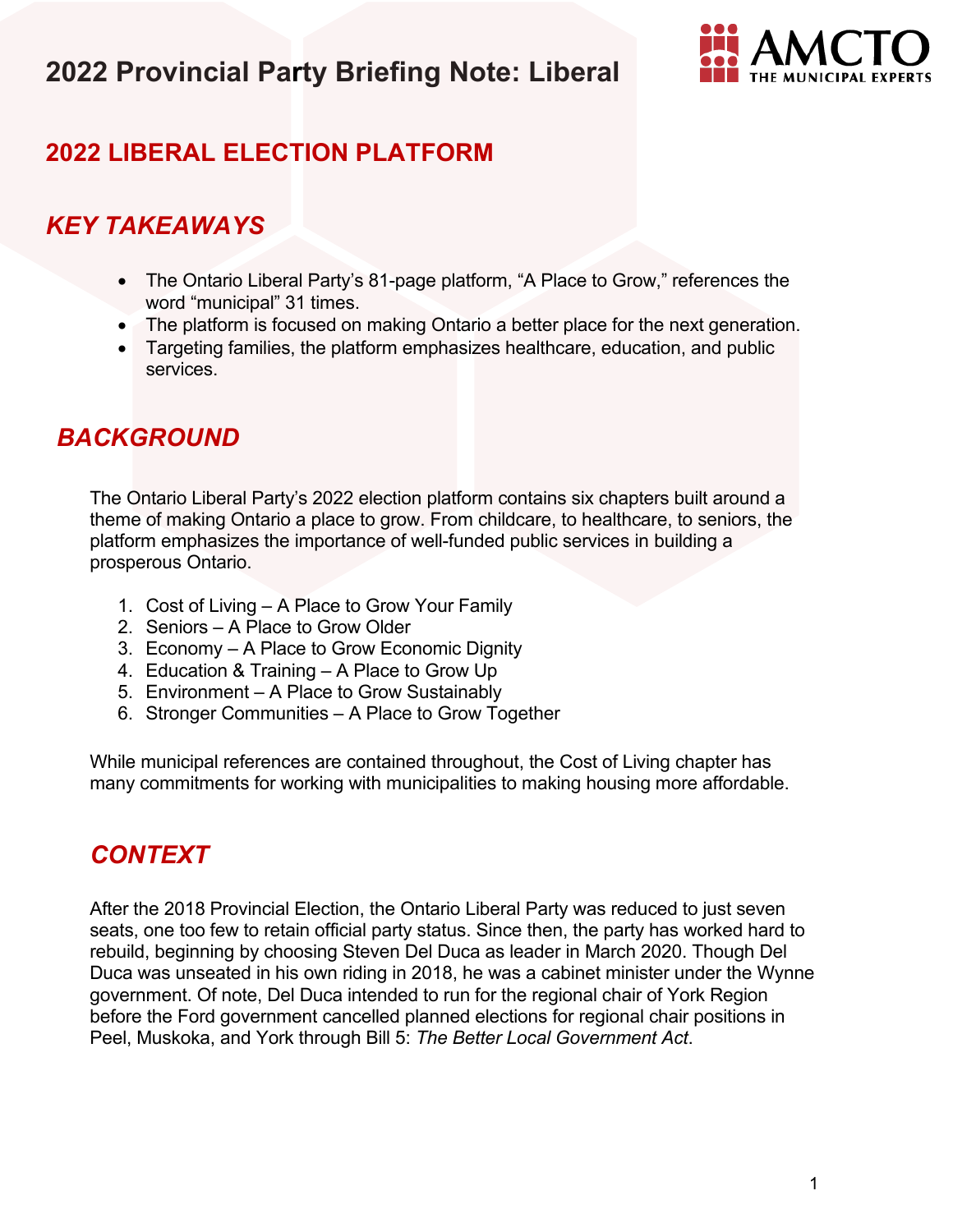

## **2022 LIBERAL ELECTION PLATFORM**

## *KEY TAKEAWAYS*

- The Ontario Liberal Party's 81-page platform, "A Place to Grow," references the word "municipal" 31 times.
- The platform is focused on making Ontario a better place for the next generation.
- Targeting families, the platform emphasizes healthcare, education, and public services.

## *BACKGROUND*

The Ontario Liberal Party's 2022 election platform contains six chapters built around a theme of making Ontario a place to grow. From childcare, to healthcare, to seniors, the platform emphasizes the importance of well-funded public services in building a prosperous Ontario.

- 1. Cost of Living A Place to Grow Your Family
- 2. Seniors A Place to Grow Older
- 3. Economy A Place to Grow Economic Dignity
- 4. Education & Training A Place to Grow Up
- 5. Environment A Place to Grow Sustainably
- 6. Stronger Communities A Place to Grow Together

While municipal references are contained throughout, the Cost of Living chapter has many commitments for working with municipalities to making housing more affordable.

## *CONTEXT*

After the 2018 Provincial Election, the Ontario Liberal Party was reduced to just seven seats, one too few to retain official party status. Since then, the party has worked hard to rebuild, beginning by choosing Steven Del Duca as leader in March 2020. Though Del Duca was unseated in his own riding in 2018, he was a cabinet minister under the Wynne government. Of note, Del Duca intended to run for the regional chair of York Region before the Ford government cancelled planned elections for regional chair positions in Peel, Muskoka, and York through Bill 5: *The Better Local Government Act*.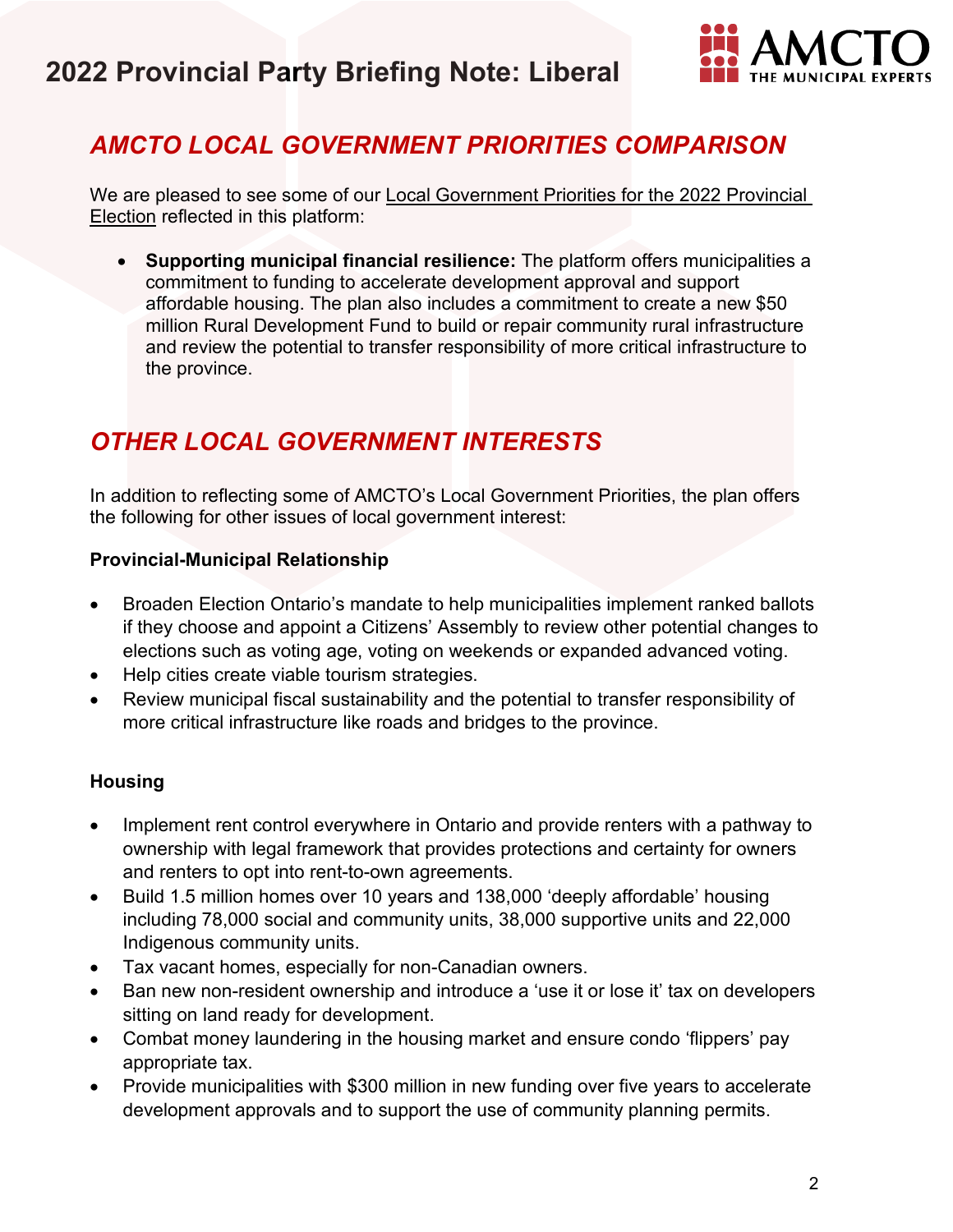

## *AMCTO LOCAL GOVERNMENT PRIORITIES COMPARISON*

We are pleased to see some of our [Local Government Priorities for the 2022 Provincial](https://www.amcto.com/getattachment/2d0a9f97-8650-4229-a8a2-ae5137fc2948/.aspx)  [Election](https://www.amcto.com/getattachment/2d0a9f97-8650-4229-a8a2-ae5137fc2948/.aspx) reflected in this platform:

• **Supporting municipal financial resilience:** The platform offers municipalities a commitment to funding to accelerate development approval and support affordable housing. The plan also includes a commitment to create a new \$50 million Rural Development Fund to build or repair community rural infrastructure and review the potential to transfer responsibility of more critical infrastructure to the province.

## *OTHER LOCAL GOVERNMENT INTERESTS*

In addition to reflecting some of AMCTO's Local Government Priorities, the plan offers the following for other issues of local government interest:

#### **Provincial-Municipal Relationship**

- Broaden Election Ontario's mandate to help municipalities implement ranked ballots if they choose and appoint a Citizens' Assembly to review other potential changes to elections such as voting age, voting on weekends or expanded advanced voting.
- Help cities create viable tourism strategies.
- Review municipal fiscal sustainability and the potential to transfer responsibility of more critical infrastructure like roads and bridges to the province.

#### **Housing**

- Implement rent control everywhere in Ontario and provide renters with a pathway to ownership with legal framework that provides protections and certainty for owners and renters to opt into rent-to-own agreements.
- Build 1.5 million homes over 10 years and 138,000 'deeply affordable' housing including 78,000 social and community units, 38,000 supportive units and 22,000 Indigenous community units.
- Tax vacant homes, especially for non-Canadian owners.
- Ban new non-resident ownership and introduce a 'use it or lose it' tax on developers sitting on land ready for development.
- Combat money laundering in the housing market and ensure condo 'flippers' pay appropriate tax.
- Provide municipalities with \$300 million in new funding over five years to accelerate development approvals and to support the use of community planning permits.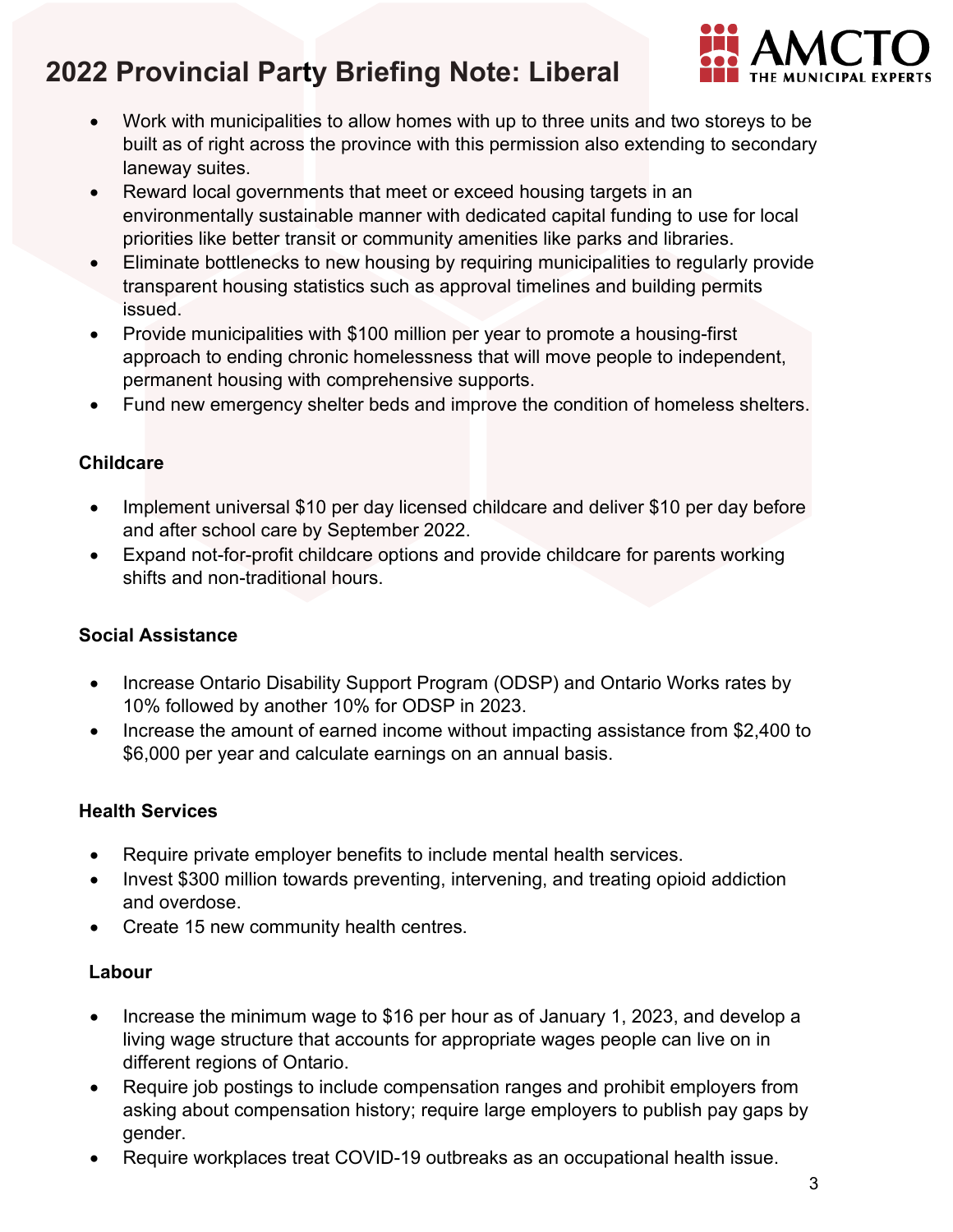

- Work with municipalities to allow homes with up to three units and two storeys to be built as of right across the province with this permission also extending to secondary laneway suites.
- Reward local governments that meet or exceed housing targets in an environmentally sustainable manner with dedicated capital funding to use for local priorities like better transit or community amenities like parks and libraries.
- Eliminate bottlenecks to new housing by requiring municipalities to regularly provide transparent housing statistics such as approval timelines and building permits issued.
- Provide municipalities with \$100 million per year to promote a housing-first approach to ending chronic homelessness that will move people to independent, permanent housing with comprehensive supports.
- Fund new emergency shelter beds and improve the condition of homeless shelters.

### **Childcare**

- Implement universal \$10 per day licensed childcare and deliver \$10 per day before and after school care by September 2022.
- Expand not-for-profit childcare options and provide childcare for parents working shifts and non-traditional hours.

### **Social Assistance**

- Increase Ontario Disability Support Program (ODSP) and Ontario Works rates by 10% followed by another 10% for ODSP in 2023.
- Increase the amount of earned income without impacting assistance from \$2,400 to \$6,000 per year and calculate earnings on an annual basis.

#### **Health Services**

- Require private employer benefits to include mental health services.
- Invest \$300 million towards preventing, intervening, and treating opioid addiction and overdose.
- Create 15 new community health centres.

#### **Labour**

- Increase the minimum wage to \$16 per hour as of January 1, 2023, and develop a living wage structure that accounts for appropriate wages people can live on in different regions of Ontario.
- Require job postings to include compensation ranges and prohibit employers from asking about compensation history; require large employers to publish pay gaps by gender.
- Require workplaces treat COVID-19 outbreaks as an occupational health issue.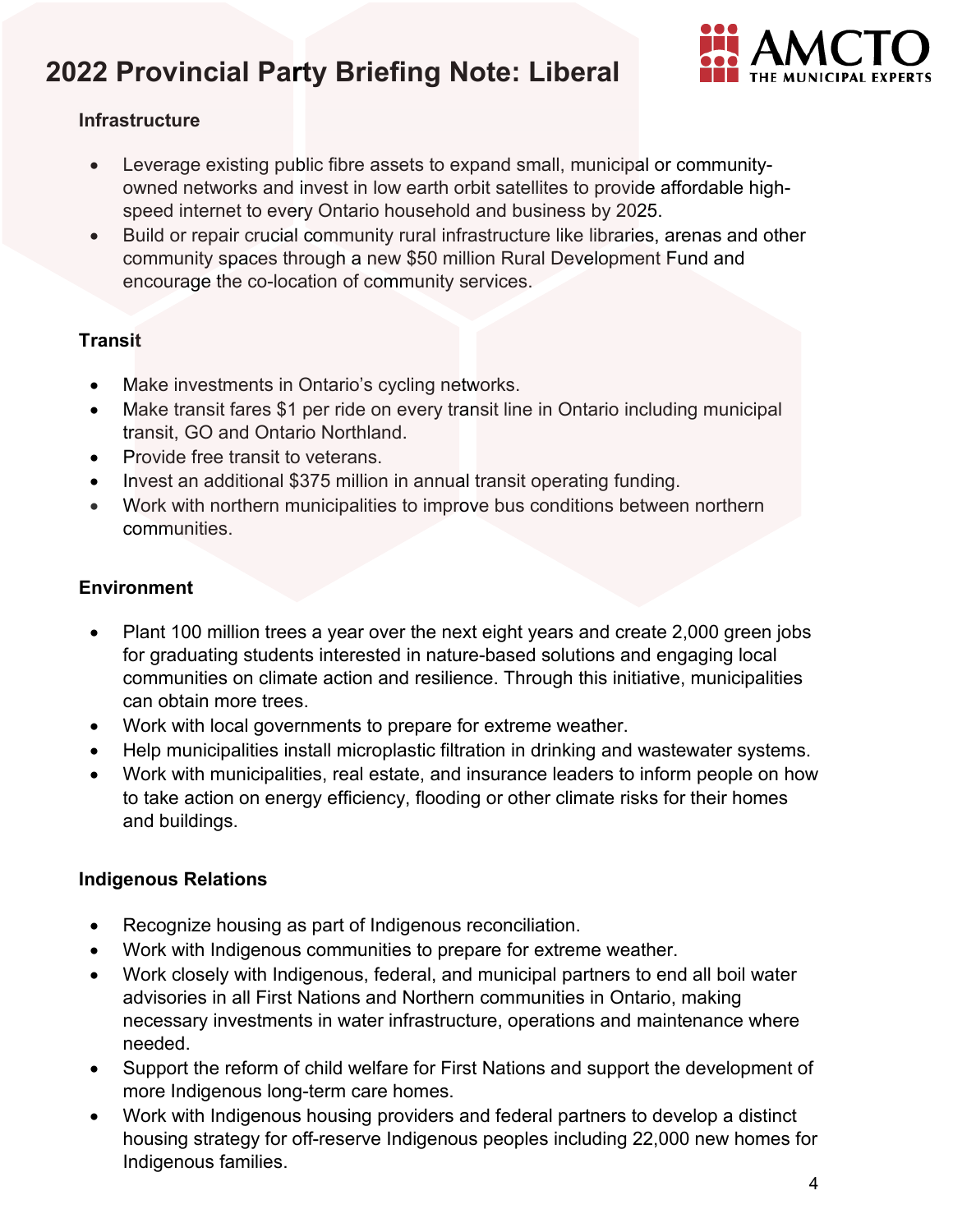

#### **Infrastructure**

- Leverage existing public fibre assets to expand small, municipal or communityowned networks and invest in low earth orbit satellites to provide affordable highspeed internet to every Ontario household and business by 2025.
- Build or repair crucial community rural infrastructure like libraries, arenas and other community spaces through a new \$50 million Rural Development Fund and encourage the co-location of community services.

### **Transit**

- Make investments in Ontario's cycling networks.
- Make transit fares \$1 per ride on every transit line in Ontario including municipal transit, GO and Ontario Northland.
- Provide free transit to veterans.
- Invest an additional \$375 million in annual transit operating funding.
- Work with northern municipalities to improve bus conditions between northern communities.

### **Environment**

- Plant 100 million trees a year over the next eight years and create 2,000 green jobs for graduating students interested in nature-based solutions and engaging local communities on climate action and resilience. Through this initiative, municipalities can obtain more trees.
- Work with local governments to prepare for extreme weather.
- Help municipalities install microplastic filtration in drinking and wastewater systems.
- Work with municipalities, real estate, and insurance leaders to inform people on how to take action on energy efficiency, flooding or other climate risks for their homes and buildings.

### **Indigenous Relations**

- Recognize housing as part of Indigenous reconciliation.
- Work with Indigenous communities to prepare for extreme weather.
- Work closely with Indigenous, federal, and municipal partners to end all boil water advisories in all First Nations and Northern communities in Ontario, making necessary investments in water infrastructure, operations and maintenance where needed.
- Support the reform of child welfare for First Nations and support the development of more Indigenous long-term care homes.
- Work with Indigenous housing providers and federal partners to develop a distinct housing strategy for off-reserve Indigenous peoples including 22,000 new homes for Indigenous families.